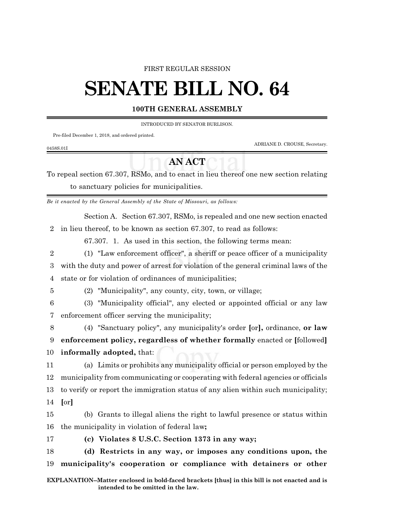#### FIRST REGULAR SESSION

# **SENATE BILL NO. 64**

#### **100TH GENERAL ASSEMBLY**

INTRODUCED BY SENATOR BURLISON.

Pre-filed December 1, 2018, and ordered printed.

ADRIANE D. CROUSE, Secretary.

### 0458S.01I

## **AN ACT**

To repeal section 67.307, RSMo, and to enact in lieu thereof one new section relating to sanctuary policies for municipalities.

*Be it enacted by the General Assembly of the State of Missouri, as follows:*

Section A. Section 67.307, RSMo, is repealed and one new section enacted 2 in lieu thereof, to be known as section 67.307, to read as follows:

67.307. 1. As used in this section, the following terms mean:

2 (1) "Law enforcement officer", a sheriff or peace officer of a municipality 3 with the duty and power of arrest for violation of the general criminal laws of the

4 state or for violation of ordinances of municipalities;

5 (2) "Municipality", any county, city, town, or village;

6 (3) "Municipality official", any elected or appointed official or any law 7 enforcement officer serving the municipality;

8 (4) "Sanctuary policy", any municipality's order **[**or**],** ordinance, **or law** 9 **enforcement policy, regardless of whether formally** enacted or **[**followed**]** 10 **informally adopted,** that:

 (a) Limits or prohibits any municipality official or person employed by the municipality from communicating or cooperating with federal agencies or officials to verify or report the immigration status of any alien within such municipality; 14 **[**or**]**

15 (b) Grants to illegal aliens the right to lawful presence or status within 16 the municipality in violation of federal law**;**

17 **(c) Violates 8 U.S.C. Section 1373 in any way;**

18 **(d) Restricts in any way, or imposes any conditions upon, the** 19 **municipality's cooperation or compliance with detainers or other**